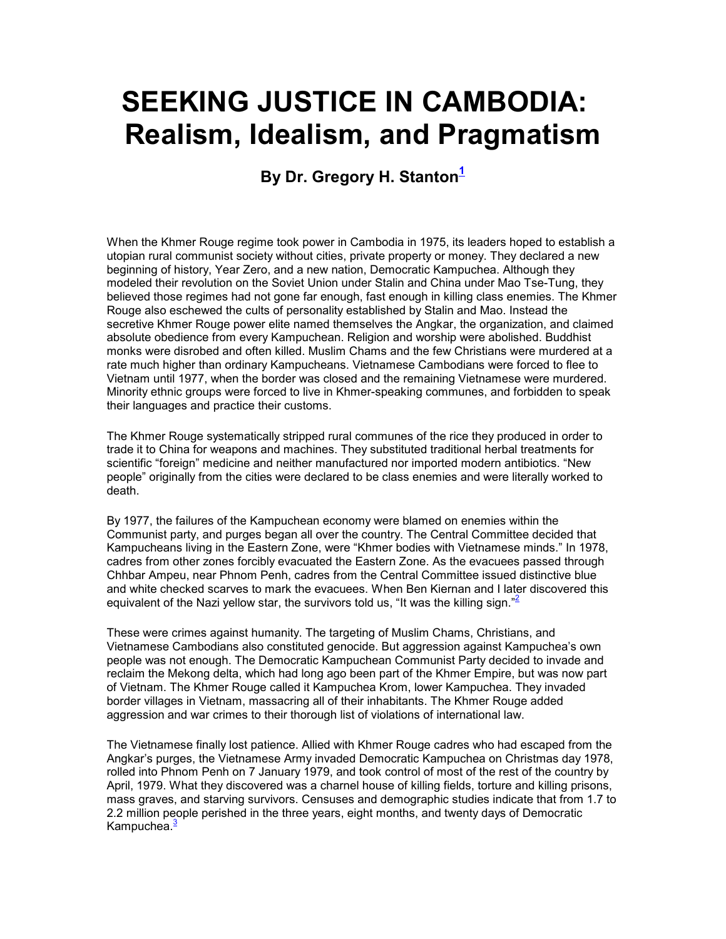# SEEKING JUSTICE IN CAMBODIA: Realism, Idealism, and Pragmatism

## By Dr. Gregory H. Stanton $1$

When the Khmer Rouge regime took power in Cambodia in 1975, its leaders hoped to establish a utopian rural communist society without cities, private property or money. They declared a new beginning of history, Year Zero, and a new nation, Democratic Kampuchea. Although they modeled their revolution on the Soviet Union under Stalin and China under Mao Tse-Tung, they believed those regimes had not gone far enough, fast enough in killing class enemies. The Khmer Rouge also eschewed the cults of personality established by Stalin and Mao. Instead the secretive Khmer Rouge power elite named themselves the Angkar, the organization, and claimed absolute obedience from every Kampuchean. Religion and worship were abolished. Buddhist monks were disrobed and often killed. Muslim Chams and the few Christians were murdered at a rate much higher than ordinary Kampucheans. Vietnamese Cambodians were forced to flee to Vietnam until 1977, when the border was closed and the remaining Vietnamese were murdered. Minority ethnic groups were forced to live in Khmer-speaking communes, and forbidden to speak their languages and practice their customs.

The Khmer Rouge systematically stripped rural communes of the rice they produced in order to trade it to China for weapons and machines. They substituted traditional herbal treatments for scientific "foreign" medicine and neither manufactured nor imported modern antibiotics. "New people" originally from the cities were declared to be class enemies and were literally worked to death.

By 1977, the failures of the Kampuchean economy were blamed on enemies within the Communist party, and purges began all over the country. The Central Committee decided that Kampucheans living in the Eastern Zone, were "Khmer bodies with Vietnamese minds." In 1978, cadres from other zones forcibly evacuated the Eastern Zone. As the evacuees passed through Chhbar Ampeu, near Phnom Penh, cadres from the Central Committee issued distinctive blue and white checked scarves to mark the evacuees. When Ben Kiernan and I later discovered this equivalent of the Nazi yellow star, the survivors told us, "It was the killing sign."

These were crimes against humanity. The targeting of Muslim Chams, Christians, and Vietnamese Cambodians also constituted genocide. But aggression against Kampuchea's own people was not enough. The Democratic Kampuchean Communist Party decided to invade and reclaim the Mekong delta, which had long ago been part of the Khmer Empire, but was now part of Vietnam. The Khmer Rouge called it Kampuchea Krom, lower Kampuchea. They invaded border villages in Vietnam, massacring all of their inhabitants. The Khmer Rouge added aggression and war crimes to their thorough list of violations of international law.

The Vietnamese finally lost patience. Allied with Khmer Rouge cadres who had escaped from the Angkar's purges, the Vietnamese Army invaded Democratic Kampuchea on Christmas day 1978, rolled into Phnom Penh on 7 January 1979, and took control of most of the rest of the country by April, 1979. What they discovered was a charnel house of killing fields, torture and killing prisons, mass graves, and starving survivors. Censuses and demographic studies indicate that from 1.7 to 2.2 million people perished in the three years, eight months, and twenty days of Democratic Kampuchea.<sup>3</sup>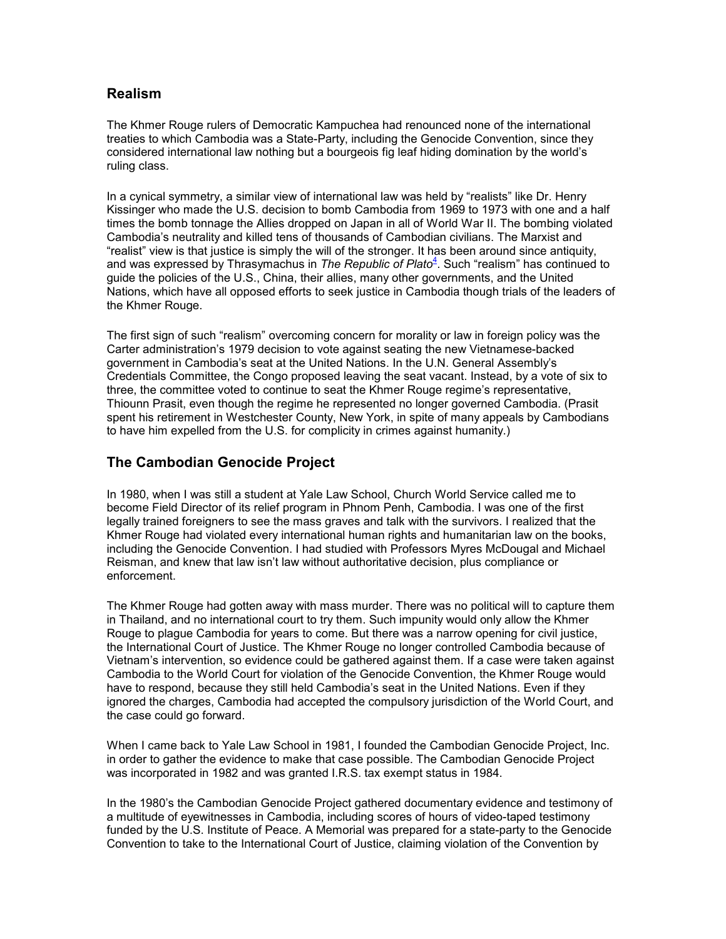## Realism

The Khmer Rouge rulers of Democratic Kampuchea had renounced none of the international treaties to which Cambodia was a State-Party, including the Genocide Convention, since they considered international law nothing but a bourgeois fig leaf hiding domination by the world's ruling class.

In a cynical symmetry, a similar view of international law was held by "realists" like Dr. Henry Kissinger who made the U.S. decision to bomb Cambodia from 1969 to 1973 with one and a half times the bomb tonnage the Allies dropped on Japan in all of World War II. The bombing violated Cambodia's neutrality and killed tens of thousands of Cambodian civilians. The Marxist and "realist" view is that justice is simply the will of the stronger. It has been around since antiquity, and was expressed by Thrasymachus in The Republic of Plato<sup>4</sup>. Such "realism" has continued to guide the policies of the U.S., China, their allies, many other governments, and the United Nations, which have all opposed efforts to seek justice in Cambodia though trials of the leaders of the Khmer Rouge.

The first sign of such "realism" overcoming concern for morality or law in foreign policy was the Carter administration's 1979 decision to vote against seating the new Vietnamese-backed government in Cambodia's seat at the United Nations. In the U.N. General Assembly's Credentials Committee, the Congo proposed leaving the seat vacant. Instead, by a vote of six to three, the committee voted to continue to seat the Khmer Rouge regime's representative, Thiounn Prasit, even though the regime he represented no longer governed Cambodia. (Prasit spent his retirement in Westchester County, New York, in spite of many appeals by Cambodians to have him expelled from the U.S. for complicity in crimes against humanity.)

## The Cambodian Genocide Project

In 1980, when I was still a student at Yale Law School, Church World Service called me to become Field Director of its relief program in Phnom Penh, Cambodia. I was one of the first legally trained foreigners to see the mass graves and talk with the survivors. I realized that the Khmer Rouge had violated every international human rights and humanitarian law on the books, including the Genocide Convention. I had studied with Professors Myres McDougal and Michael Reisman, and knew that law isn't law without authoritative decision, plus compliance or enforcement.

The Khmer Rouge had gotten away with mass murder. There was no political will to capture them in Thailand, and no international court to try them. Such impunity would only allow the Khmer Rouge to plague Cambodia for years to come. But there was a narrow opening for civil justice, the International Court of Justice. The Khmer Rouge no longer controlled Cambodia because of Vietnam's intervention, so evidence could be gathered against them. If a case were taken against Cambodia to the World Court for violation of the Genocide Convention, the Khmer Rouge would have to respond, because they still held Cambodia's seat in the United Nations. Even if they ignored the charges, Cambodia had accepted the compulsory jurisdiction of the World Court, and the case could go forward.

When I came back to Yale Law School in 1981, I founded the Cambodian Genocide Project, Inc. in order to gather the evidence to make that case possible. The Cambodian Genocide Project was incorporated in 1982 and was granted I.R.S. tax exempt status in 1984.

In the 1980's the Cambodian Genocide Project gathered documentary evidence and testimony of a multitude of eyewitnesses in Cambodia, including scores of hours of video-taped testimony funded by the U.S. Institute of Peace. A Memorial was prepared for a state-party to the Genocide Convention to take to the International Court of Justice, claiming violation of the Convention by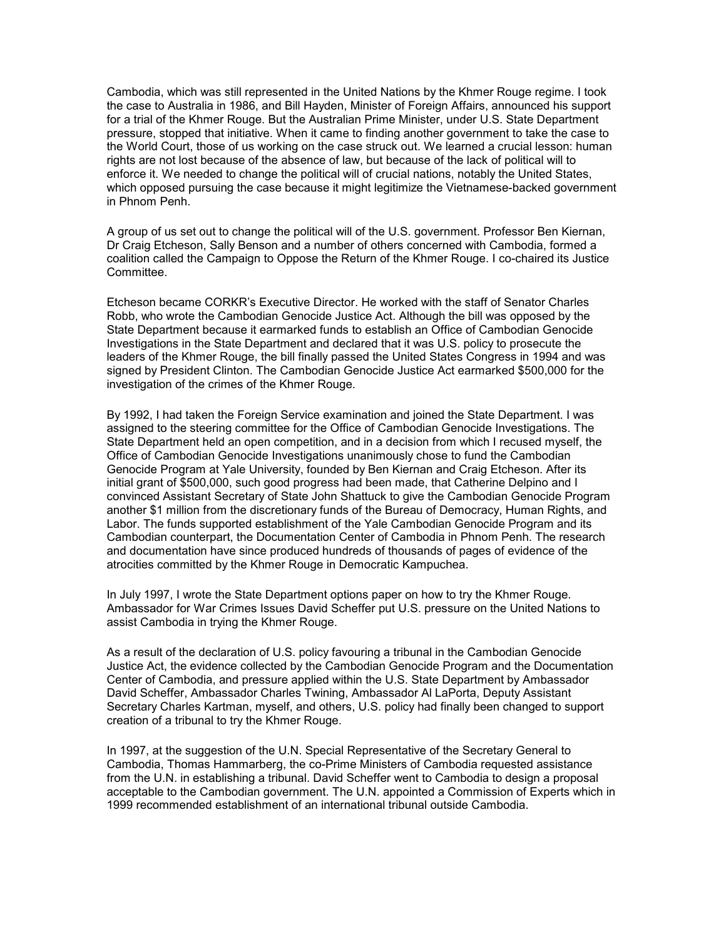Cambodia, which was still represented in the United Nations by the Khmer Rouge regime. I took the case to Australia in 1986, and Bill Hayden, Minister of Foreign Affairs, announced his support for a trial of the Khmer Rouge. But the Australian Prime Minister, under U.S. State Department pressure, stopped that initiative. When it came to finding another government to take the case to the World Court, those of us working on the case struck out. We learned a crucial lesson: human rights are not lost because of the absence of law, but because of the lack of political will to enforce it. We needed to change the political will of crucial nations, notably the United States, which opposed pursuing the case because it might legitimize the Vietnamese-backed government in Phnom Penh.

A group of us set out to change the political will of the U.S. government. Professor Ben Kiernan, Dr Craig Etcheson, Sally Benson and a number of others concerned with Cambodia, formed a coalition called the Campaign to Oppose the Return of the Khmer Rouge. I co-chaired its Justice Committee.

Etcheson became CORKR's Executive Director. He worked with the staff of Senator Charles Robb, who wrote the Cambodian Genocide Justice Act. Although the bill was opposed by the State Department because it earmarked funds to establish an Office of Cambodian Genocide Investigations in the State Department and declared that it was U.S. policy to prosecute the leaders of the Khmer Rouge, the bill finally passed the United States Congress in 1994 and was signed by President Clinton. The Cambodian Genocide Justice Act earmarked \$500,000 for the investigation of the crimes of the Khmer Rouge.

By 1992, I had taken the Foreign Service examination and joined the State Department. I was assigned to the steering committee for the Office of Cambodian Genocide Investigations. The State Department held an open competition, and in a decision from which I recused myself, the Office of Cambodian Genocide Investigations unanimously chose to fund the Cambodian Genocide Program at Yale University, founded by Ben Kiernan and Craig Etcheson. After its initial grant of \$500,000, such good progress had been made, that Catherine Delpino and I convinced Assistant Secretary of State John Shattuck to give the Cambodian Genocide Program another \$1 million from the discretionary funds of the Bureau of Democracy, Human Rights, and Labor. The funds supported establishment of the Yale Cambodian Genocide Program and its Cambodian counterpart, the Documentation Center of Cambodia in Phnom Penh. The research and documentation have since produced hundreds of thousands of pages of evidence of the atrocities committed by the Khmer Rouge in Democratic Kampuchea.

In July 1997, I wrote the State Department options paper on how to try the Khmer Rouge. Ambassador for War Crimes Issues David Scheffer put U.S. pressure on the United Nations to assist Cambodia in trying the Khmer Rouge.

As a result of the declaration of U.S. policy favouring a tribunal in the Cambodian Genocide Justice Act, the evidence collected by the Cambodian Genocide Program and the Documentation Center of Cambodia, and pressure applied within the U.S. State Department by Ambassador David Scheffer, Ambassador Charles Twining, Ambassador Al LaPorta, Deputy Assistant Secretary Charles Kartman, myself, and others, U.S. policy had finally been changed to support creation of a tribunal to try the Khmer Rouge.

In 1997, at the suggestion of the U.N. Special Representative of the Secretary General to Cambodia, Thomas Hammarberg, the co-Prime Ministers of Cambodia requested assistance from the U.N. in establishing a tribunal. David Scheffer went to Cambodia to design a proposal acceptable to the Cambodian government. The U.N. appointed a Commission of Experts which in 1999 recommended establishment of an international tribunal outside Cambodia.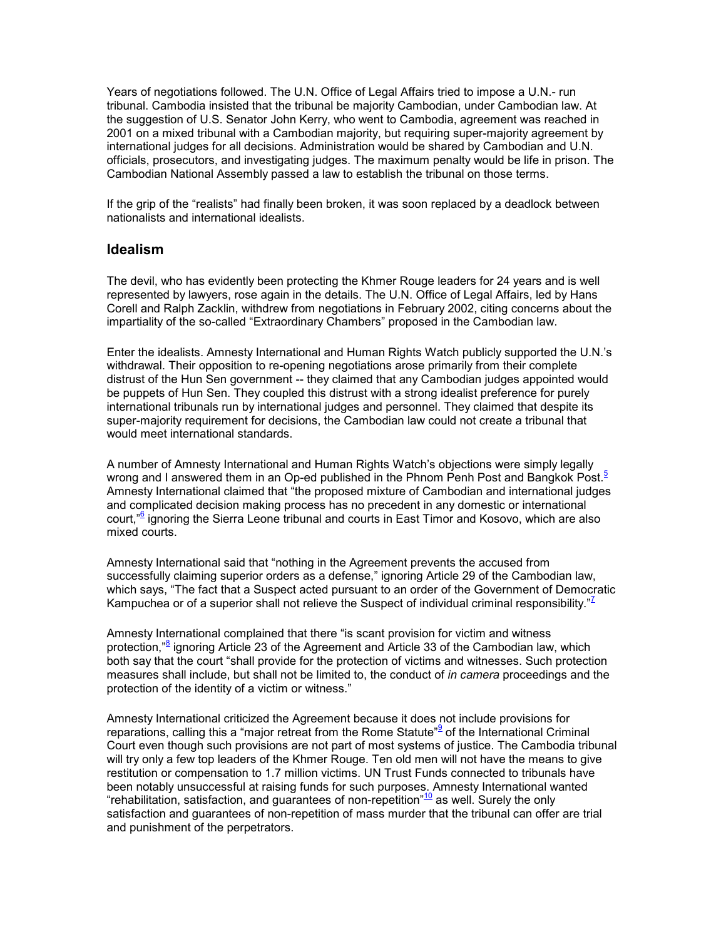Years of negotiations followed. The U.N. Office of Legal Affairs tried to impose a U.N.- run tribunal. Cambodia insisted that the tribunal be majority Cambodian, under Cambodian law. At the suggestion of U.S. Senator John Kerry, who went to Cambodia, agreement was reached in 2001 on a mixed tribunal with a Cambodian majority, but requiring super-majority agreement by international judges for all decisions. Administration would be shared by Cambodian and U.N. officials, prosecutors, and investigating judges. The maximum penalty would be life in prison. The Cambodian National Assembly passed a law to establish the tribunal on those terms.

If the grip of the "realists" had finally been broken, it was soon replaced by a deadlock between nationalists and international idealists.

#### Idealism

The devil, who has evidently been protecting the Khmer Rouge leaders for 24 years and is well represented by lawyers, rose again in the details. The U.N. Office of Legal Affairs, led by Hans Corell and Ralph Zacklin, withdrew from negotiations in February 2002, citing concerns about the impartiality of the so-called "Extraordinary Chambers" proposed in the Cambodian law.

Enter the idealists. Amnesty International and Human Rights Watch publicly supported the U.N.'s withdrawal. Their opposition to re-opening negotiations arose primarily from their complete distrust of the Hun Sen government -- they claimed that any Cambodian judges appointed would be puppets of Hun Sen. They coupled this distrust with a strong idealist preference for purely international tribunals run by international judges and personnel. They claimed that despite its super-majority requirement for decisions, the Cambodian law could not create a tribunal that would meet international standards.

A number of Amnesty International and Human Rights Watch's objections were simply legally wrong and I answered them in an Op-ed published in the Phnom Penh Post and Bangkok Post. $5$ Amnesty International claimed that "the proposed mixture of Cambodian and international judges and complicated decision making process has no precedent in any domestic or international court,"<sup>6</sup> ignoring the Sierra Leone tribunal and courts in East Timor and Kosovo, which are also mixed courts.

Amnesty International said that "nothing in the Agreement prevents the accused from successfully claiming superior orders as a defense," ignoring Article 29 of the Cambodian law, which says, "The fact that a Suspect acted pursuant to an order of the Government of Democratic Kampuchea or of a superior shall not relieve the Suspect of individual criminal responsibility."<sup>7</sup>

Amnesty International complained that there "is scant provision for victim and witness protection,"<sup>8</sup> ignoring Article 23 of the Agreement and Article 33 of the Cambodian law, which both say that the court "shall provide for the protection of victims and witnesses. Such protection measures shall include, but shall not be limited to, the conduct of *in camera* proceedings and the protection of the identity of a victim or witness."

Amnesty International criticized the Agreement because it does not include provisions for reparations, calling this a "major retreat from the Rome Statute"<sup>9</sup> of the International Criminal Court even though such provisions are not part of most systems of justice. The Cambodia tribunal will try only a few top leaders of the Khmer Rouge. Ten old men will not have the means to give restitution or compensation to 1.7 million victims. UN Trust Funds connected to tribunals have been notably unsuccessful at raising funds for such purposes. Amnesty International wanted "rehabilitation, satisfaction, and guarantees of non-repetition"<sup>10</sup> as well. Surely the only satisfaction and guarantees of non-repetition of mass murder that the tribunal can offer are trial and punishment of the perpetrators.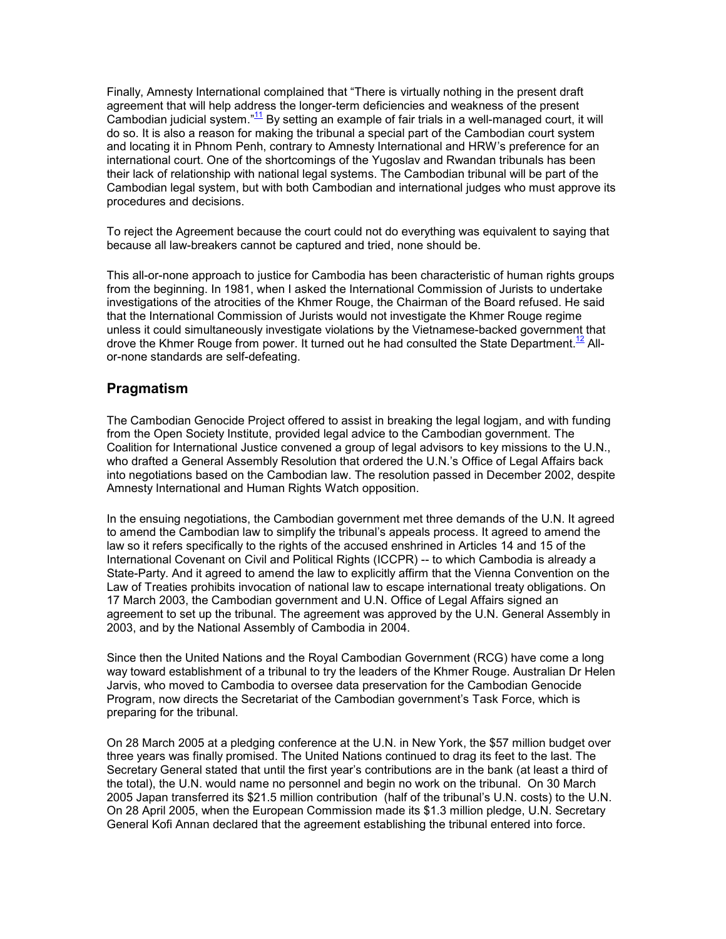Finally, Amnesty International complained that "There is virtually nothing in the present draft agreement that will help address the longer-term deficiencies and weakness of the present Cambodian judicial system."<sup>11</sup> By setting an example of fair trials in a well-managed court, it will do so. It is also a reason for making the tribunal a special part of the Cambodian court system and locating it in Phnom Penh, contrary to Amnesty International and HRW's preference for an international court. One of the shortcomings of the Yugoslav and Rwandan tribunals has been their lack of relationship with national legal systems. The Cambodian tribunal will be part of the Cambodian legal system, but with both Cambodian and international judges who must approve its procedures and decisions.

To reject the Agreement because the court could not do everything was equivalent to saying that because all law-breakers cannot be captured and tried, none should be.

This all-or-none approach to justice for Cambodia has been characteristic of human rights groups from the beginning. In 1981, when I asked the International Commission of Jurists to undertake investigations of the atrocities of the Khmer Rouge, the Chairman of the Board refused. He said that the International Commission of Jurists would not investigate the Khmer Rouge regime unless it could simultaneously investigate violations by the Vietnamese-backed government that drove the Khmer Rouge from power. It turned out he had consulted the State Department.<sup>12</sup> Allor-none standards are self-defeating.

#### Pragmatism

The Cambodian Genocide Project offered to assist in breaking the legal logjam, and with funding from the Open Society Institute, provided legal advice to the Cambodian government. The Coalition for International Justice convened a group of legal advisors to key missions to the U.N., who drafted a General Assembly Resolution that ordered the U.N.'s Office of Legal Affairs back into negotiations based on the Cambodian law. The resolution passed in December 2002, despite Amnesty International and Human Rights Watch opposition.

In the ensuing negotiations, the Cambodian government met three demands of the U.N. It agreed to amend the Cambodian law to simplify the tribunal's appeals process. It agreed to amend the law so it refers specifically to the rights of the accused enshrined in Articles 14 and 15 of the International Covenant on Civil and Political Rights (ICCPR) -- to which Cambodia is already a State-Party. And it agreed to amend the law to explicitly affirm that the Vienna Convention on the Law of Treaties prohibits invocation of national law to escape international treaty obligations. On 17 March 2003, the Cambodian government and U.N. Office of Legal Affairs signed an agreement to set up the tribunal. The agreement was approved by the U.N. General Assembly in 2003, and by the National Assembly of Cambodia in 2004.

Since then the United Nations and the Royal Cambodian Government (RCG) have come a long way toward establishment of a tribunal to try the leaders of the Khmer Rouge. Australian Dr Helen Jarvis, who moved to Cambodia to oversee data preservation for the Cambodian Genocide Program, now directs the Secretariat of the Cambodian government's Task Force, which is preparing for the tribunal.

On 28 March 2005 at a pledging conference at the U.N. in New York, the \$57 million budget over three years was finally promised. The United Nations continued to drag its feet to the last. The Secretary General stated that until the first year's contributions are in the bank (at least a third of the total), the U.N. would name no personnel and begin no work on the tribunal. On 30 March 2005 Japan transferred its \$21.5 million contribution (half of the tribunal's U.N. costs) to the U.N. On 28 April 2005, when the European Commission made its \$1.3 million pledge, U.N. Secretary General Kofi Annan declared that the agreement establishing the tribunal entered into force.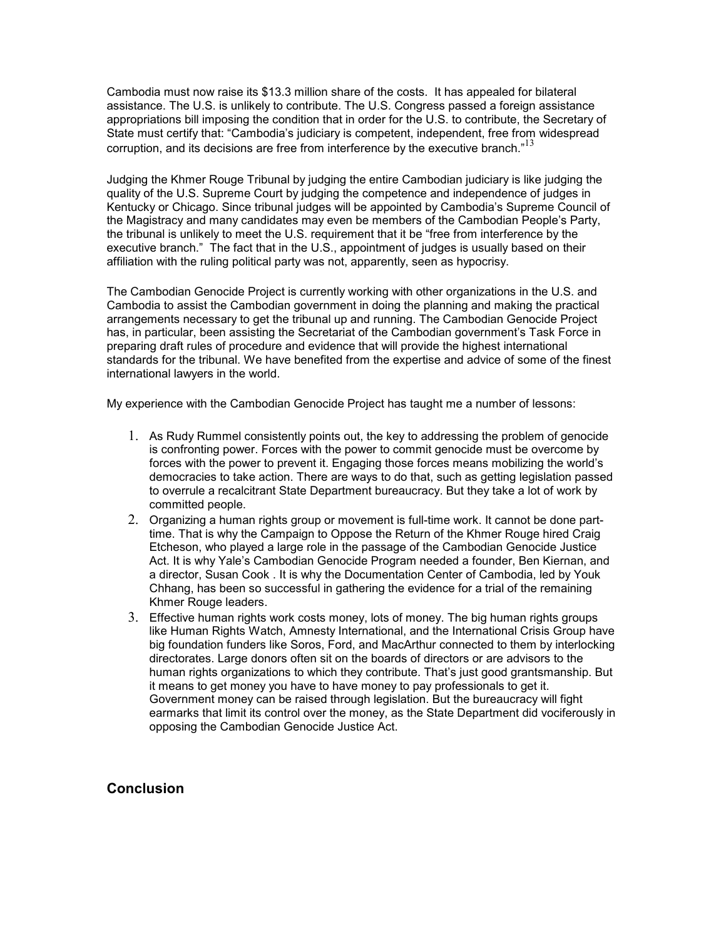Cambodia must now raise its \$13.3 million share of the costs. It has appealed for bilateral assistance. The U.S. is unlikely to contribute. The U.S. Congress passed a foreign assistance appropriations bill imposing the condition that in order for the U.S. to contribute, the Secretary of State must certify that: "Cambodia's judiciary is competent, independent, free from widespread corruption, and its decisions are free from interference by the executive branch. $n^{13}$ 

Judging the Khmer Rouge Tribunal by judging the entire Cambodian judiciary is like judging the quality of the U.S. Supreme Court by judging the competence and independence of judges in Kentucky or Chicago. Since tribunal judges will be appointed by Cambodia's Supreme Council of the Magistracy and many candidates may even be members of the Cambodian People's Party, the tribunal is unlikely to meet the U.S. requirement that it be "free from interference by the executive branch." The fact that in the U.S., appointment of judges is usually based on their affiliation with the ruling political party was not, apparently, seen as hypocrisy.

The Cambodian Genocide Project is currently working with other organizations in the U.S. and Cambodia to assist the Cambodian government in doing the planning and making the practical arrangements necessary to get the tribunal up and running. The Cambodian Genocide Project has, in particular, been assisting the Secretariat of the Cambodian government's Task Force in preparing draft rules of procedure and evidence that will provide the highest international standards for the tribunal. We have benefited from the expertise and advice of some of the finest international lawyers in the world.

My experience with the Cambodian Genocide Project has taught me a number of lessons:

- 1. As Rudy Rummel consistently points out, the key to addressing the problem of genocide is confronting power. Forces with the power to commit genocide must be overcome by forces with the power to prevent it. Engaging those forces means mobilizing the world's democracies to take action. There are ways to do that, such as getting legislation passed to overrule a recalcitrant State Department bureaucracy. But they take a lot of work by committed people.
- 2. Organizing a human rights group or movement is full-time work. It cannot be done parttime. That is why the Campaign to Oppose the Return of the Khmer Rouge hired Craig Etcheson, who played a large role in the passage of the Cambodian Genocide Justice Act. It is why Yale's Cambodian Genocide Program needed a founder, Ben Kiernan, and a director, Susan Cook . It is why the Documentation Center of Cambodia, led by Youk Chhang, has been so successful in gathering the evidence for a trial of the remaining Khmer Rouge leaders.
- 3. Effective human rights work costs money, lots of money. The big human rights groups like Human Rights Watch, Amnesty International, and the International Crisis Group have big foundation funders like Soros, Ford, and MacArthur connected to them by interlocking directorates. Large donors often sit on the boards of directors or are advisors to the human rights organizations to which they contribute. That's just good grantsmanship. But it means to get money you have to have money to pay professionals to get it. Government money can be raised through legislation. But the bureaucracy will fight earmarks that limit its control over the money, as the State Department did vociferously in opposing the Cambodian Genocide Justice Act.

### **Conclusion**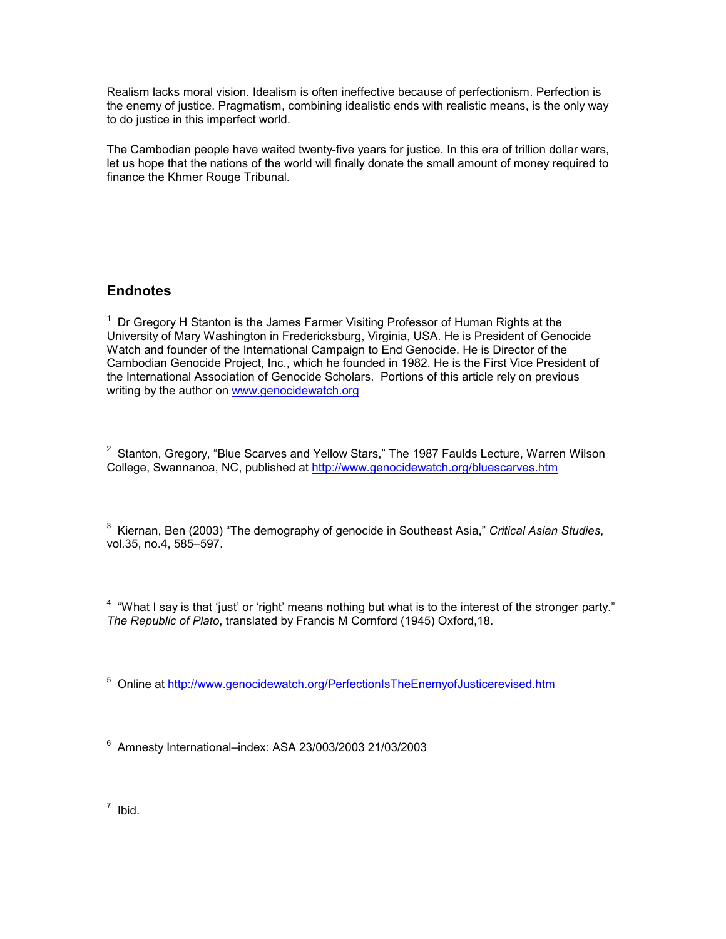Realism lacks moral vision. Idealism is often ineffective because of perfectionism. Perfection is the enemy of justice. Pragmatism, combining idealistic ends with realistic means, is the only way to do justice in this imperfect world.

The Cambodian people have waited twenty-five years for justice. In this era of trillion dollar wars, let us hope that the nations of the world will finally donate the small amount of money required to finance the Khmer Rouge Tribunal.

## **Endnotes**

 $1$  Dr Gregory H Stanton is the James Farmer Visiting Professor of Human Rights at the University of Mary Washington in Fredericksburg, Virginia, USA. He is President of Genocide Watch and founder of the International Campaign to End Genocide. He is Director of the Cambodian Genocide Project, Inc., which he founded in 1982. He is the First Vice President of the International Association of Genocide Scholars. Portions of this article rely on previous writing by the author on www.genocidewatch.org

 $2$  Stanton, Gregory, "Blue Scarves and Yellow Stars," The 1987 Faulds Lecture, Warren Wilson College, Swannanoa, NC, published at http://www.genocidewatch.org/bluescarves.htm

 $3$  Kiernan, Ben (2003) "The demography of genocide in Southeast Asia," Critical Asian Studies, vol.35, no.4, 585–597.

 $4\degree$  "What I say is that 'just' or 'right' means nothing but what is to the interest of the stronger party." The Republic of Plato, translated by Francis M Cornford (1945) Oxford,18.

<sup>5</sup> Online at http://www.genocidewatch.org/PerfectionIsTheEnemyofJusticerevised.htm

6 Amnesty International–index: ASA 23/003/2003 21/03/2003

 $<sup>7</sup>$  Ibid.</sup>